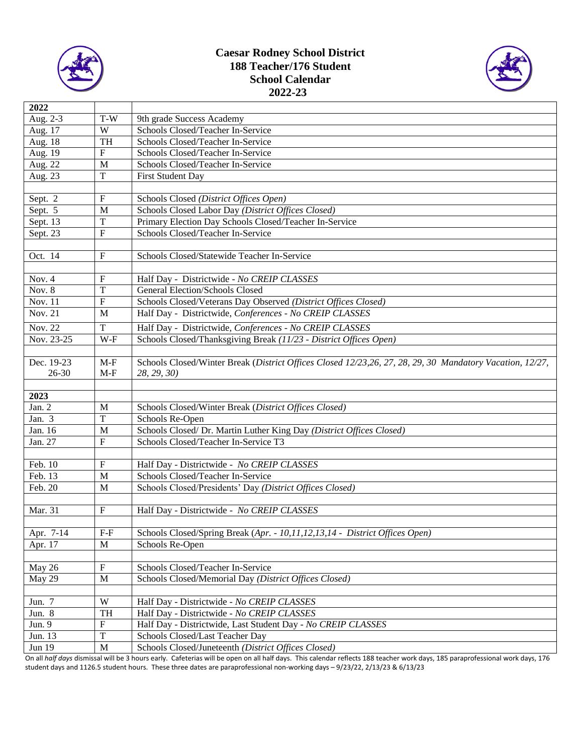

## **Caesar Rodney School District 188 Teacher/176 Student School Calendar 2022-23**



| 2022              |                            |                                                                                                          |  |  |  |
|-------------------|----------------------------|----------------------------------------------------------------------------------------------------------|--|--|--|
| Aug. 2-3          | T-W                        | 9th grade Success Academy                                                                                |  |  |  |
| Aug. 17           | W                          | Schools Closed/Teacher In-Service                                                                        |  |  |  |
| Aug. 18           | <b>TH</b>                  | Schools Closed/Teacher In-Service                                                                        |  |  |  |
| Aug. 19           | ${\rm F}$                  | Schools Closed/Teacher In-Service                                                                        |  |  |  |
| Aug. 22           | M                          | Schools Closed/Teacher In-Service                                                                        |  |  |  |
| Aug. 23           | $\mathbf T$                | First Student Day                                                                                        |  |  |  |
|                   |                            |                                                                                                          |  |  |  |
| Sept. 2           | F                          | Schools Closed (District Offices Open)                                                                   |  |  |  |
| Sept. 5           | M                          | Schools Closed Labor Day (District Offices Closed)                                                       |  |  |  |
| Sept. 13          | T                          | Primary Election Day Schools Closed/Teacher In-Service                                                   |  |  |  |
| Sept. 23          | $\mathbf F$                | Schools Closed/Teacher In-Service                                                                        |  |  |  |
|                   |                            |                                                                                                          |  |  |  |
| Oct. 14           | $\boldsymbol{\mathrm{F}}$  | Schools Closed/Statewide Teacher In-Service                                                              |  |  |  |
|                   |                            |                                                                                                          |  |  |  |
| Nov. 4            | F                          | Half Day - Districtwide - No CREIP CLASSES                                                               |  |  |  |
| Nov. 8            | T                          | General Election/Schools Closed                                                                          |  |  |  |
| Nov. 11           | F                          | Schools Closed/Veterans Day Observed (District Offices Closed)                                           |  |  |  |
| Nov. 21           | M                          | Half Day - Districtwide, Conferences - No CREIP CLASSES                                                  |  |  |  |
|                   |                            |                                                                                                          |  |  |  |
| Nov. 22           | T                          | Half Day - Districtwide, Conferences - No CREIP CLASSES                                                  |  |  |  |
| Nov. 23-25        | W-F                        | Schools Closed/Thanksgiving Break (11/23 - District Offices Open)                                        |  |  |  |
|                   |                            |                                                                                                          |  |  |  |
| Dec. 19-23        | $M-F$                      | Schools Closed/Winter Break (District Offices Closed 12/23,26, 27, 28, 29, 30 Mandatory Vacation, 12/27, |  |  |  |
| 26-30             | $M-F$                      | 28, 29, 30)                                                                                              |  |  |  |
|                   |                            |                                                                                                          |  |  |  |
| 2023              |                            |                                                                                                          |  |  |  |
| Jan. 2            | M                          | Schools Closed/Winter Break (District Offices Closed)                                                    |  |  |  |
| Jan. $3$          | $\mathbf T$                | Schools Re-Open                                                                                          |  |  |  |
| Jan. 16           | M                          | Schools Closed/ Dr. Martin Luther King Day (District Offices Closed)                                     |  |  |  |
| Jan. 27           | $\overline{F}$             | Schools Closed/Teacher In-Service T3                                                                     |  |  |  |
|                   |                            |                                                                                                          |  |  |  |
| Feb. 10           | ${\bf F}$                  | Half Day - Districtwide - No CREIP CLASSES                                                               |  |  |  |
| Feb. 13           | M                          | Schools Closed/Teacher In-Service                                                                        |  |  |  |
| Feb. 20           | M                          | Schools Closed/Presidents' Day (District Offices Closed)                                                 |  |  |  |
|                   |                            |                                                                                                          |  |  |  |
| Mar. 31           | F                          | Half Day - Districtwide - No CREIP CLASSES                                                               |  |  |  |
|                   |                            |                                                                                                          |  |  |  |
| Apr. 7-14         | $F-F$                      | Schools Closed/Spring Break (Apr. - 10,11,12,13,14 - District Offices Open)                              |  |  |  |
| Apr. 17           | $\mathbf M$                | Schools Re-Open                                                                                          |  |  |  |
|                   |                            |                                                                                                          |  |  |  |
| May 26            | ${\bf F}$                  | Schools Closed/Teacher In-Service                                                                        |  |  |  |
| May 29            | M                          | Schools Closed/Memorial Day (District Offices Closed)                                                    |  |  |  |
|                   |                            |                                                                                                          |  |  |  |
|                   |                            |                                                                                                          |  |  |  |
| Jun. 7            | $\ensuremath{\text{W}}$    | Half Day - Districtwide - No CREIP CLASSES                                                               |  |  |  |
| Jun. 8            | TH                         | Half Day - Districtwide - No CREIP CLASSES                                                               |  |  |  |
| Jun. 9            | $\overline{F}$             | Half Day - Districtwide, Last Student Day - No CREIP CLASSES                                             |  |  |  |
| Jun. 13<br>Jun 19 | $\mathbf T$<br>$\mathbf M$ | Schools Closed/Last Teacher Day<br>Schools Closed/Juneteenth (District Offices Closed)                   |  |  |  |

On all *half days* dismissal will be 3 hours early. Cafeterias will be open on all half days. This calendar reflects 188 teacher work days, 185 paraprofessional work days, 176 student days and 1126.5 student hours. These three dates are paraprofessional non-working days – 9/23/22, 2/13/23 & 6/13/23